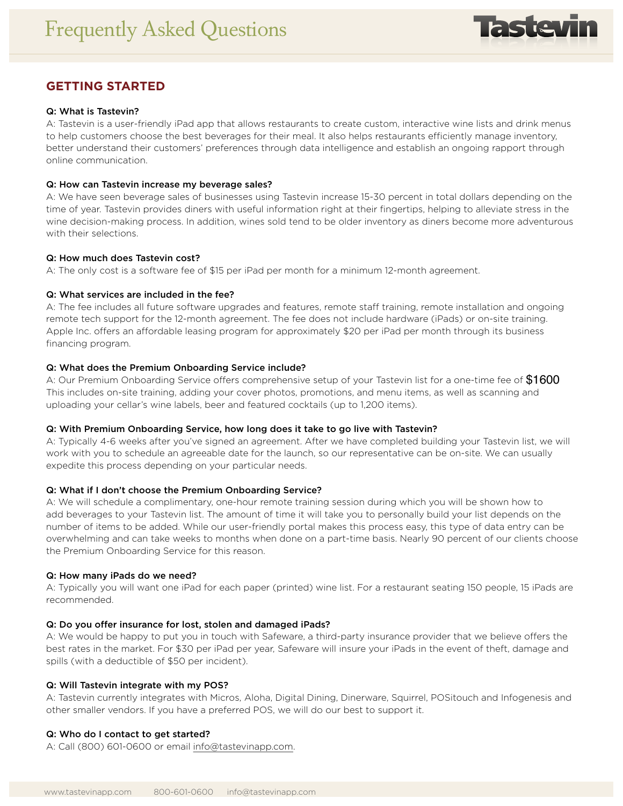

# **GETTING STARTED**

## Q: What is Tastevin?

A: Tastevin is a user-friendly iPad app that allows restaurants to create custom, interactive wine lists and drink menus to help customers choose the best beverages for their meal. It also helps restaurants efficiently manage inventory, better understand their customers' preferences through data intelligence and establish an ongoing rapport through online communication.

#### Q: How can Tastevin increase my beverage sales?

A: We have seen beverage sales of businesses using Tastevin increase 15-30 percent in total dollars depending on the time of year. Tastevin provides diners with useful information right at their fingertips, helping to alleviate stress in the wine decision-making process. In addition, wines sold tend to be older inventory as diners become more adventurous with their selections.

#### Q: How much does Tastevin cost?

A: The only cost is a software fee of \$15 per iPad per month for a minimum 12-month agreement.

## Q: What services are included in the fee?

A: The fee includes all future software upgrades and features, remote staff training, remote installation and ongoing remote tech support for the 12-month agreement. The fee does not include hardware (iPads) or on-site training. Apple Inc. offers an affordable leasing program for approximately \$20 per iPad per month through its business financing program.

## Q: What does the Premium Onboarding Service include?

A: Our Premium Onboarding Service offers comprehensive setup of your Tastevin list for a one-time fee of  $\$1600$ This includes on-site training, adding your cover photos, promotions, and menu items, as well as scanning and uploading your cellar's wine labels, beer and featured cocktails (up to 1,200 items).

#### Q: With Premium Onboarding Service, how long does it take to go live with Tastevin?

A: Typically 4-6 weeks after you've signed an agreement. After we have completed building your Tastevin list, we will work with you to schedule an agreeable date for the launch, so our representative can be on-site. We can usually expedite this process depending on your particular needs.

## Q: What if I don't choose the Premium Onboarding Service?

A: We will schedule a complimentary, one-hour remote training session during which you will be shown how to add beverages to your Tastevin list. The amount of time it will take you to personally build your list depends on the number of items to be added. While our user-friendly portal makes this process easy, this type of data entry can be overwhelming and can take weeks to months when done on a part-time basis. Nearly 90 percent of our clients choose the Premium Onboarding Service for this reason.

#### Q: How many iPads do we need?

A: Typically you will want one iPad for each paper (printed) wine list. For a restaurant seating 150 people, 15 iPads are recommended.

## Q: Do you offer insurance for lost, stolen and damaged iPads?

A: We would be happy to put you in touch with Safeware, a third-party insurance provider that we believe offers the best rates in the market. For \$30 per iPad per year, Safeware will insure your iPads in the event of theft, damage and spills (with a deductible of \$50 per incident).

## Q: Will Tastevin integrate with my POS?

A: Tastevin currently integrates with Micros, Aloha, Digital Dining, Dinerware, Squirrel, POSitouch and Infogenesis and other smaller vendors. If you have a preferred POS, we will do our best to support it.

## Q: Who do I contact to get started?

A: Call (800) 601-0600 or email info@tastevinapp.com.